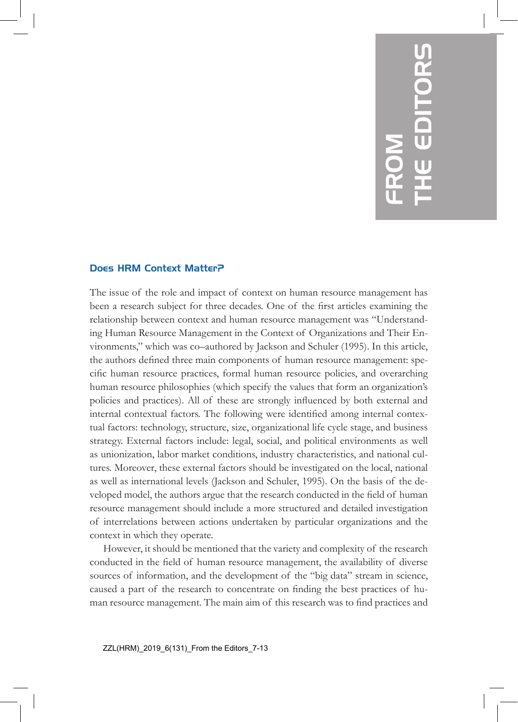## 7 FROM THE EDITORS

## Does HRM Context Matter?

The issue of the role and impact of context on human resource management has been a research subject for three decades. One of the first articles examining the relationship between context and human resource management was "Understanding Human Resource Management in the Context of Organizations and Their Environments," which was co–authored by Jackson and Schuler (1995). In this article, the authors defined three main components of human resource management: specific human resource practices, formal human resource policies, and overarching human resource philosophies (which specify the values that form an organization's policies and practices). All of these are strongly influenced by both external and internal contextual factors. The following were identified among internal contextual factors: technology, structure, size, organizational life cycle stage, and business strategy. External factors include: legal, social, and political environments as well as unionization, labor market conditions, industry characteristics, and national cultures. Moreover, these external factors should be investigated on the local, national as well as international levels (Jackson and Schuler, 1995). On the basis of the developed model, the authors argue that the research conducted in the field of human resource management should include a more structured and detailed investigation of interrelations between actions undertaken by particular organizations and the context in which they operate.

However, it should be mentioned that the variety and complexity of the research conducted in the field of human resource management, the availability of diverse sources of information, and the development of the "big data" stream in science, caused a part of the research to concentrate on finding the best practices of human resource management. The main aim of this research was to find practices and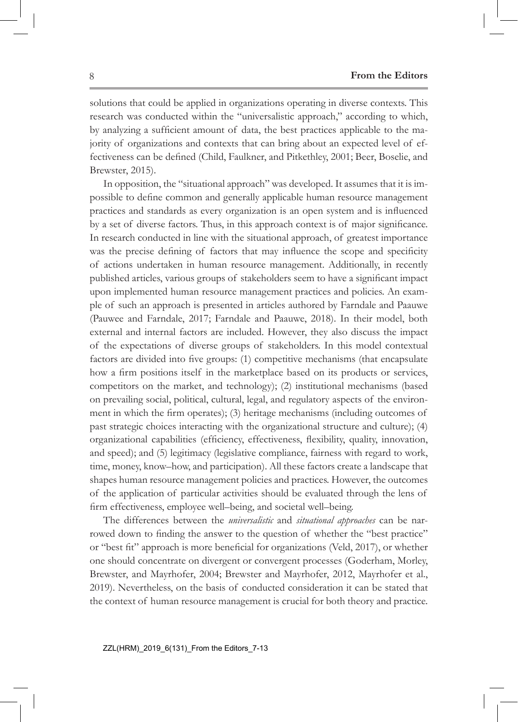solutions that could be applied in organizations operating in diverse contexts. This research was conducted within the "universalistic approach," according to which, by analyzing a sufficient amount of data, the best practices applicable to the majority of organizations and contexts that can bring about an expected level of effectiveness can be defined (Child, Faulkner, and Pitkethley, 2001; Beer, Boselie, and Brewster, 2015).

In opposition, the "situational approach" was developed. It assumes that it is impossible to define common and generally applicable human resource management practices and standards as every organization is an open system and is influenced by a set of diverse factors. Thus, in this approach context is of major significance. In research conducted in line with the situational approach, of greatest importance was the precise defining of factors that may influence the scope and specificity of actions undertaken in human resource management. Additionally, in recently published articles, various groups of stakeholders seem to have a significant impact upon implemented human resource management practices and policies. An example of such an approach is presented in articles authored by Farndale and Paauwe (Pauwee and Farndale, 2017; Farndale and Paauwe, 2018). In their model, both external and internal factors are included. However, they also discuss the impact of the expectations of diverse groups of stakeholders. In this model contextual factors are divided into five groups: (1) competitive mechanisms (that encapsulate how a firm positions itself in the marketplace based on its products or services, competitors on the market, and technology); (2) institutional mechanisms (based on prevailing social, political, cultural, legal, and regulatory aspects of the environment in which the firm operates); (3) heritage mechanisms (including outcomes of past strategic choices interacting with the organizational structure and culture); (4) organizational capabilities (efficiency, effectiveness, flexibility, quality, innovation, and speed); and (5) legitimacy (legislative compliance, fairness with regard to work, time, money, know–how, and participation). All these factors create a landscape that shapes human resource management policies and practices. However, the outcomes of the application of particular activities should be evaluated through the lens of firm effectiveness, employee well–being, and societal well–being.

The differences between the *universalistic* and *situational approaches* can be narrowed down to finding the answer to the question of whether the "best practice" or "best fit" approach is more beneficial for organizations (Veld, 2017), or whether one should concentrate on divergent or convergent processes (Goderham, Morley, Brewster, and Mayrhofer, 2004; Brewster and Mayrhofer, 2012, Mayrhofer et al., 2019). Nevertheless, on the basis of conducted consideration it can be stated that the context of human resource management is crucial for both theory and practice.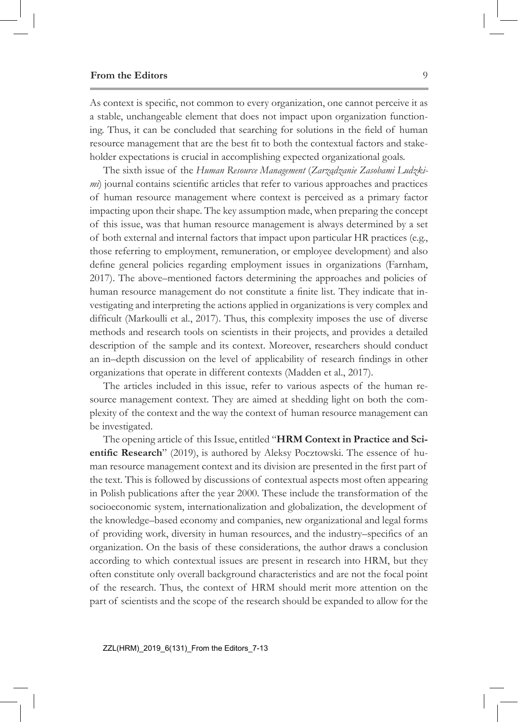As context is specific, not common to every organization, one cannot perceive it as a stable, unchangeable element that does not impact upon organization functioning. Thus, it can be concluded that searching for solutions in the field of human resource management that are the best fit to both the contextual factors and stakeholder expectations is crucial in accomplishing expected organizational goals.

The sixth issue of the *Human Resource Management* (*Zarządzanie Zasobami Ludzkimi*) journal contains scientific articles that refer to various approaches and practices of human resource management where context is perceived as a primary factor impacting upon their shape. The key assumption made, when preparing the concept of this issue, was that human resource management is always determined by a set of both external and internal factors that impact upon particular HR practices (e.g., those referring to employment, remuneration, or employee development) and also define general policies regarding employment issues in organizations (Farnham, 2017). The above–mentioned factors determining the approaches and policies of human resource management do not constitute a finite list. They indicate that investigating and interpreting the actions applied in organizations is very complex and difficult (Markoulli et al., 2017). Thus, this complexity imposes the use of diverse methods and research tools on scientists in their projects, and provides a detailed description of the sample and its context. Moreover, researchers should conduct an in–depth discussion on the level of applicability of research findings in other organizations that operate in different contexts (Madden et al., 2017).

The articles included in this issue, refer to various aspects of the human resource management context. They are aimed at shedding light on both the complexity of the context and the way the context of human resource management can be investigated.

The opening article of this Issue, entitled "**HRM Context in Practice and Scientific Research**" (2019), is authored by Aleksy Pocztowski. The essence of human resource management context and its division are presented in the first part of the text. This is followed by discussions of contextual aspects most often appearing in Polish publications after the year 2000. These include the transformation of the socioeconomic system, internationalization and globalization, the development of the knowledge–based economy and companies, new organizational and legal forms of providing work, diversity in human resources, and the industry–specifics of an organization. On the basis of these considerations, the author draws a conclusion according to which contextual issues are present in research into HRM, but they often constitute only overall background characteristics and are not the focal point of the research. Thus, the context of HRM should merit more attention on the part of scientists and the scope of the research should be expanded to allow for the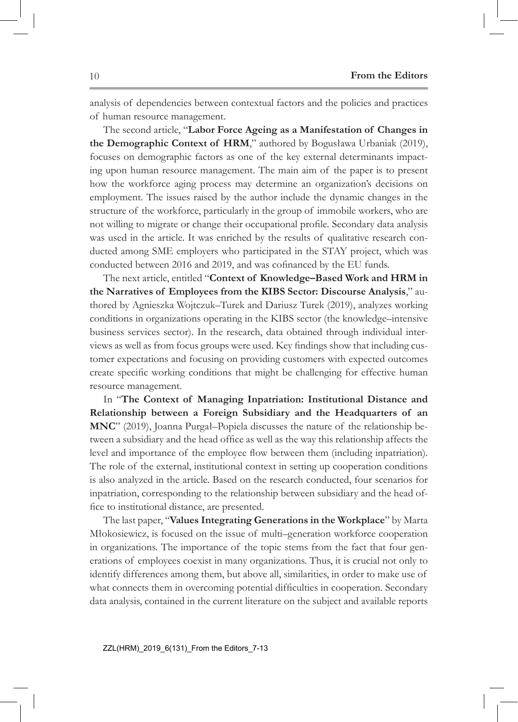analysis of dependencies between contextual factors and the policies and practices of human resource management.

The second article, "**Labor Force Ageing as a Manifestation of Changes in the Demographic Context of HRM**," authored by Bogusława Urbaniak (2019), focuses on demographic factors as one of the key external determinants impacting upon human resource management. The main aim of the paper is to present how the workforce aging process may determine an organization's decisions on employment. The issues raised by the author include the dynamic changes in the structure of the workforce, particularly in the group of immobile workers, who are not willing to migrate or change their occupational profile. Secondary data analysis was used in the article. It was enriched by the results of qualitative research conducted among SME employers who participated in the STAY project, which was conducted between 2016 and 2019, and was cofinanced by the EU funds.

The next article, entitled "**Context of Knowledge–Based Work and HRM in the Narratives of Employees from the KIBS Sector: Discourse Analysis**," authored by Agnieszka Wojtczuk–Turek and Dariusz Turek (2019), analyzes working conditions in organizations operating in the KIBS sector (the knowledge–intensive business services sector). In the research, data obtained through individual interviews as well as from focus groups were used. Key findings show that including customer expectations and focusing on providing customers with expected outcomes create specific working conditions that might be challenging for effective human resource management.

In "**The Context of Managing Inpatriation: Institutional Distance and Relationship between a Foreign Subsidiary and the Headquarters of an MNC**" (2019), Joanna Purgał–Popiela discusses the nature of the relationship between a subsidiary and the head office as well as the way this relationship affects the level and importance of the employee flow between them (including inpatriation). The role of the external, institutional context in setting up cooperation conditions is also analyzed in the article. Based on the research conducted, four scenarios for inpatriation, corresponding to the relationship between subsidiary and the head office to institutional distance, are presented.

The last paper, "**Values Integrating Generations in the Workplace**" by Marta Młokosiewicz, is focused on the issue of multi–generation workforce cooperation in organizations. The importance of the topic stems from the fact that four generations of employees coexist in many organizations. Thus, it is crucial not only to identify differences among them, but above all, similarities, in order to make use of what connects them in overcoming potential difficulties in cooperation. Secondary data analysis, contained in the current literature on the subject and available reports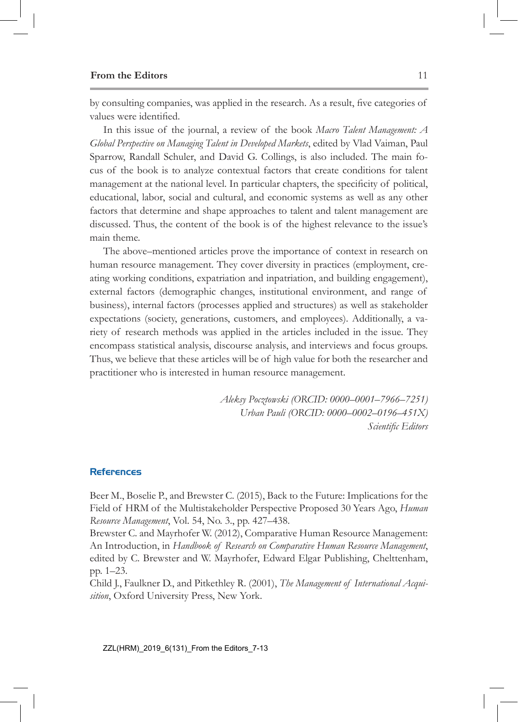## **From the Editors** 11

by consulting companies, was applied in the research. As a result, five categories of values were identified.

In this issue of the journal, a review of the book *Macro Talent Management: A Global Perspective on Managing Talent in Developed Markets*, edited by Vlad Vaiman, Paul Sparrow, Randall Schuler, and David G. Collings, is also included. The main focus of the book is to analyze contextual factors that create conditions for talent management at the national level. In particular chapters, the specificity of political, educational, labor, social and cultural, and economic systems as well as any other factors that determine and shape approaches to talent and talent management are discussed. Thus, the content of the book is of the highest relevance to the issue's main theme.

The above–mentioned articles prove the importance of context in research on human resource management. They cover diversity in practices (employment, creating working conditions, expatriation and inpatriation, and building engagement), external factors (demographic changes, institutional environment, and range of business), internal factors (processes applied and structures) as well as stakeholder expectations (society, generations, customers, and employees). Additionally, a variety of research methods was applied in the articles included in the issue. They encompass statistical analysis, discourse analysis, and interviews and focus groups. Thus, we believe that these articles will be of high value for both the researcher and practitioner who is interested in human resource management.

> *Aleksy Pocztowski (ORCID: 0000–0001–7966–7251) Urban Pauli (ORCID: 0000–0002–0196–451X) Scientific Editors*

## References

Beer M., Boselie P., and Brewster C. (2015), Back to the Future: Implications for the Field of HRM of the Multistakeholder Perspective Proposed 30 Years Ago, *Human Resource Management*, Vol. 54, No. 3., pp. 427–438.

Brewster C. and Mayrhofer W. (2012), Comparative Human Resource Management: An Introduction, in *Handbook of Research on Comparative Human Resource Management*, edited by C. Brewster and W. Mayrhofer, Edward Elgar Publishing, Chelttenham, pp. 1–23.

Child J., Faulkner D., and Pitkethley R. (2001), *The Management of International Acquisition*, Oxford University Press, New York.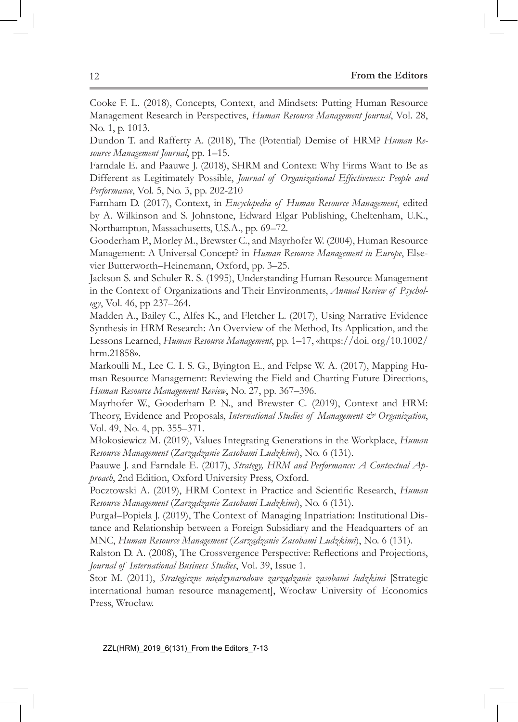Cooke F. L. (2018), Concepts, Context, and Mindsets: Putting Human Resource Management Research in Perspectives, *Human Resource Management Journal*, Vol. 28, No. 1, p. 1013.

Dundon T. and Rafferty A. (2018), The (Potential) Demise of HRM? *Human Resource Management Journal*, pp. 1–15.

Farndale E. and Paauwe J. (2018), SHRM and Context: Why Firms Want to Be as Different as Legitimately Possible, *Journal of Organizational Effectiveness: People and Performance*, Vol. 5, No. 3, pp. 202-210

Farnham D. (2017), Context, in *Encyclopedia of Human Resource Management*, edited by A. Wilkinson and S. Johnstone, Edward Elgar Publishing, Cheltenham, U.K., Northampton, Massachusetts, U.S.A., pp. 69–72.

Gooderham P., Morley M., Brewster C., and Mayrhofer W. (2004), Human Resource Management: A Universal Concept? in *Human Resource Management in Europe*, Elsevier Butterworth–Heinemann, Oxford, pp. 3–25.

Jackson S. and Schuler R. S. (1995), Understanding Human Resource Management in the Context of Organizations and Their Environments, *Annual Review of Psychology*, Vol. 46, pp 237–264.

Madden A., Bailey C., Alfes K., and Fletcher L. (2017), Using Narrative Evidence Synthesis in HRM Research: An Overview of the Method, Its Application, and the Lessons Learned, *Human Resource Management*, pp. 1–17, «https://doi. org/10.1002/ hrm.21858».

Markoulli M., Lee C. I. S. G., Byington E., and Felpse W. A. (2017), Mapping Human Resource Management: Reviewing the Field and Charting Future Directions, *Human Resource Management Review*, No. 27, pp. 367–396.

Mayrhofer W., Gooderham P. N., and Brewster C. (2019), Context and HRM: Theory, Evidence and Proposals, *International Studies of Management & Organization*, Vol. 49, No. 4, pp. 355–371.

Młokosiewicz M. (2019), Values Integrating Generations in the Workplace, *Human Resource Management* (*Zarządzanie Zasobami Ludzkimi*), No. 6 (131).

Paauwe J. and Farndale E. (2017), *Strategy, HRM and Performance: A Contextual Approach*, 2nd Edition, Oxford University Press, Oxford.

Pocztowski A. (2019), HRM Context in Practice and Scientific Research, *Human Resource Management* (*Zarządzanie Zasobami Ludzkimi*), No. 6 (131).

Purgał–Popiela J. (2019), The Context of Managing Inpatriation: Institutional Distance and Relationship between a Foreign Subsidiary and the Headquarters of an MNC, *Human Resource Management* (*Zarządzanie Zasobami Ludzkimi*), No. 6 (131).

Ralston D. A. (2008), The Crossvergence Perspective: Reflections and Projections, *Journal of International Business Studies*, Vol. 39, Issue 1.

Stor M. (2011), *Strategiczne międzynarodowe zarządzanie zasobami ludzkimi* [Strategic international human resource management], Wrocław University of Economics Press, Wrocław.